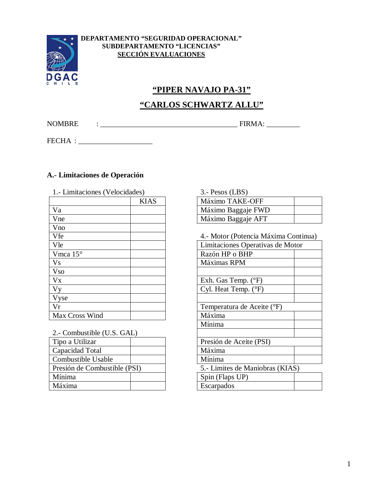

#### **DEPARTAMENTO "SEGURIDAD OPERACIONAL" SUBDEPARTAMENTO "LICENCIAS" SECCIÓN EVALUACIONES**

# **"PIPER NAVAJO PA-31"**

### **"CARLOS SCHWARTZ ALLU"**

NOMBRE : \_\_\_\_\_\_\_\_\_\_\_\_\_\_\_\_\_\_\_\_\_\_\_\_\_\_\_\_\_\_\_\_\_\_\_\_\_ FIRMA: \_\_\_\_\_\_\_\_\_

FECHA : \_\_\_\_\_\_\_\_\_\_\_\_\_\_\_\_\_\_\_\_

#### **A.- Limitaciones de Operación**

| 1.- Limitaciones (Velocidades) |             | 3.- Pesos (LBS)                  |  |
|--------------------------------|-------------|----------------------------------|--|
|                                | <b>KIAS</b> | Máximo TAKE-OFF                  |  |
| Va                             |             | Máximo Baggaje FWD               |  |
| Vne                            |             | Máximo Baggaje AFT               |  |
| Vno                            |             |                                  |  |
| Vfe                            |             | 4.- Motor (Potencia Máxima Conti |  |
| Vle                            |             | Limitaciones Operativas de Motor |  |
| Vmca 15°                       |             | Razón HP o BHP                   |  |
| <b>Vs</b>                      |             | Máximas RPM                      |  |
| <b>Vso</b>                     |             |                                  |  |
| Vx                             |             | Exh. Gas Temp. $(^{\circ}F)$     |  |
| <b>Vy</b>                      |             | Cyl. Heat Temp. $(^{\circ}F)$    |  |
| Vyse                           |             |                                  |  |
| Vr                             |             | Temperatura de Aceite (°F)       |  |
| Max Cross Wind                 |             | Máxima                           |  |

| 2.- Combustible (U.S. GAL)   |  |                                 |  |
|------------------------------|--|---------------------------------|--|
| Tipo a Utilizar              |  | Presión de Aceite (PSI)         |  |
| Capacidad Total              |  | Máxima                          |  |
| Combustible Usable           |  | Mínima                          |  |
| Presión de Combustible (PSI) |  | 5.- Limites de Maniobras (KIAS) |  |
| Mínima                       |  | Spin (Flaps UP)                 |  |
| Máxima                       |  | Escarpados                      |  |

| S)   | $3.$ - Pesos (LBS) |  |
|------|--------------------|--|
| KIAS | Máximo TAKE-OFF    |  |
|      | Máximo Baggaje FWD |  |
|      | Máximo Baggaje AFT |  |

4.- Motor (Potencia Máxima Continua)

| Limitaciones Operativas de Motor |  |
|----------------------------------|--|
| Razón HP o BHP                   |  |
| Máximas RPM                      |  |
|                                  |  |
| Exh. Gas Temp. $(^{\circ}F)$     |  |
| Cyl. Heat Temp. (°F)             |  |
|                                  |  |
| Temperatura de Aceite (°F)       |  |
| Máxima                           |  |
| Mínima                           |  |
|                                  |  |
| Presión de Aceite (PSI)          |  |
| Máxima                           |  |
| Mínima                           |  |
| 5.- Limites de Maniobras (KIAS)  |  |
| Spin (Flaps UP)                  |  |
| Escarpados                       |  |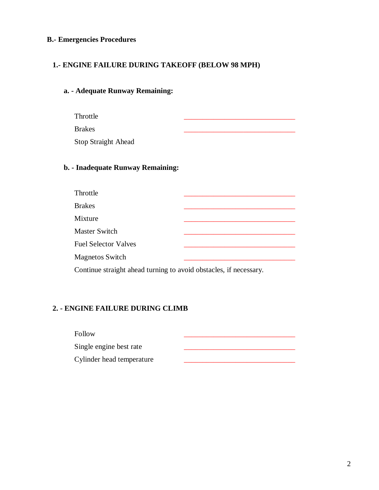#### **B.- Emergencies Procedures**

#### **1.- ENGINE FAILURE DURING TAKEOFF (BELOW 98 MPH)**

#### **a. - Adequate Runway Remaining:**

- Throttle \_\_\_\_\_\_\_\_\_\_\_\_\_\_\_\_\_\_\_\_\_\_\_\_\_\_\_\_\_\_
- Brakes \_\_\_\_\_\_\_\_\_\_\_\_\_\_\_\_\_\_\_\_\_\_\_\_\_\_\_\_\_\_

Stop Straight Ahead

#### **b. - Inadequate Runway Remaining:**

| Throttle                    |  |
|-----------------------------|--|
| <b>Brakes</b>               |  |
| Mixture                     |  |
| <b>Master Switch</b>        |  |
| <b>Fuel Selector Valves</b> |  |
| <b>Magnetos Switch</b>      |  |
|                             |  |

Continue straight ahead turning to avoid obstacles, if necessary.

### **2. - ENGINE FAILURE DURING CLIMB**

| Follow                    |  |
|---------------------------|--|
| Single engine best rate   |  |
| Cylinder head temperature |  |